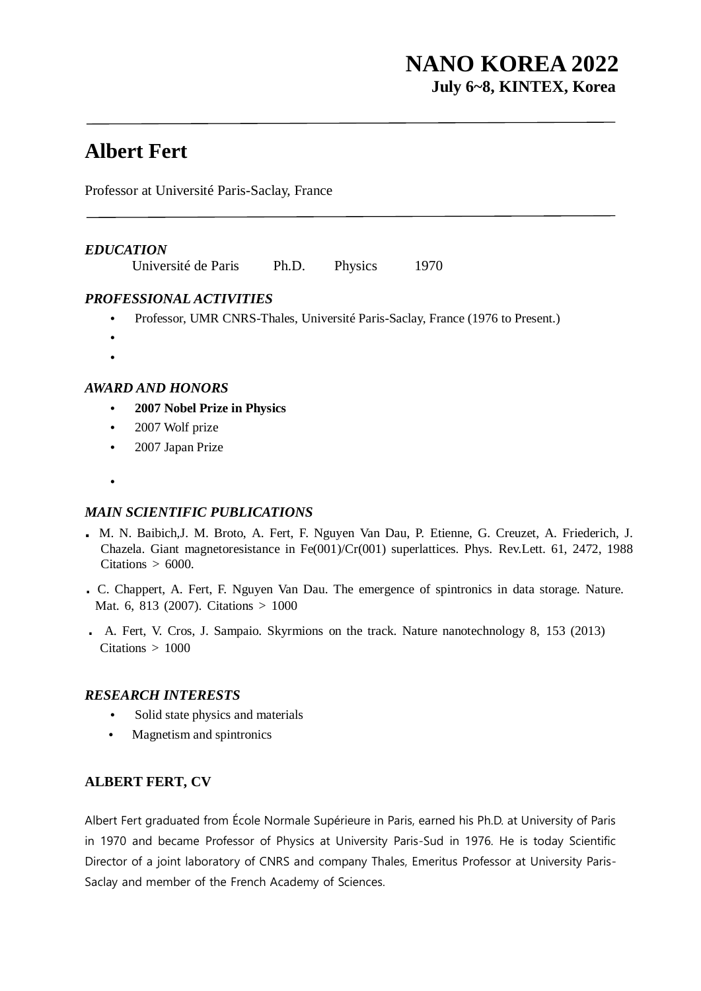# **NANO KOREA 2022 July 6~8, KINTEX, Korea**

# **Albert Fert**

Professor at Université Paris-Saclay, France

## *EDUCATION*

Université de Paris Ph.D. Physics 1970

## *PROFESSIONAL ACTIVITIES*

- Professor, UMR CNRS-Thales, Université Paris-Saclay, France (1976 to Present.)
- •
- •

## *AWARD AND HONORS*

- **2007 Nobel Prize in Physics**
- 2007 Wolf prize
- 2007 Japan Prize
- •

## *MAIN SCIENTIFIC PUBLICATIONS*

- **.** M. N. Baibich,J. M. Broto, A. Fert, F. Nguyen Van Dau, P. Etienne, G. Creuzet, A. Friederich, J. Chazela. Giant magnetoresistance in Fe(001)/Cr(001) superlattices. Phys. Rev.Lett. 61, 2472, 1988 Citations > 6000.
- . C. Chappert, A. Fert, F. Nguyen Van Dau. The emergence of spintronics in data storage. Nature. Mat. 6, 813 (2007). Citations > 1000
- . A. Fert, V. Cros, J. Sampaio. Skyrmions on the track. Nature nanotechnology 8, 153 (2013) Citations > 1000

### *RESEARCH INTERESTS*

- Solid state physics and materials
- Magnetism and spintronics

## **ALBERT FERT, CV**

Albert Fert graduated from École Normale Supérieure in Paris, earned his Ph.D. at University of Paris in 1970 and became Professor of Physics at University Paris-Sud in 1976. He is today Scientific Director of a joint laboratory of CNRS and company Thales, Emeritus Professor at University Paris-Saclay and member of the French Academy of Sciences.